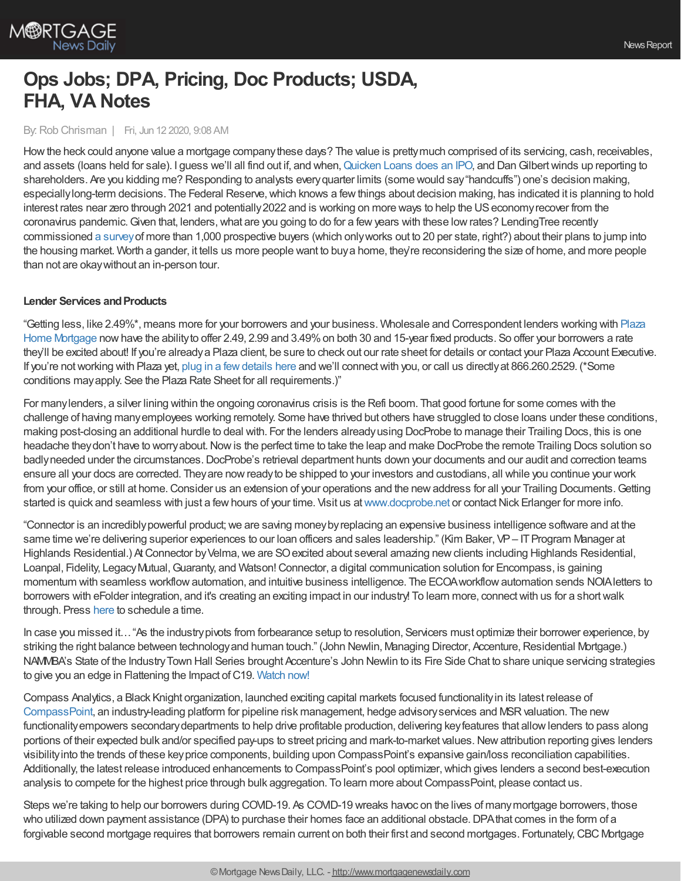

# **Ops Jobs; DPA, Pricing, Doc Products; USDA, FHA, VA Notes**

## By: Rob Chrisman | Fri, Jun 12 2020, 9:08 AM

Howthe heck could anyone value a mortgage companythese days? The value is prettymuch comprised of its servicing, cash, receivables, and assets (loans held for sale). I guess we'll all find out if, and when, [Quicken](https://www.detroitnews.com/story/business/2020/06/11/quicken-loans-planning-initial-public-offering/5345949002/) Loans does an IPO, and Dan Gilbert winds up reporting to shareholders. Are you kidding me? Responding to analysts everyquarter limits (some would say"handcuffs") one's decision making, especially long-term decisions. The Federal Reserve, which knows a few things about decision making, has indicated it is planning to hold interest rates near zero through 2021 and potentially 2022 and is working on more ways to help the US economy recover from the coronavirus pandemic. Given that, lenders, what are you going to do for a few years with these low rates? LendingTree recently commissioned a [survey](https://www.lendingtree.com/home/mortgage/more-than-half-of-homebuyers-plan-to-buy-despite-coronavirus-pandemic/)of more than 1,000 prospective buyers (which onlyworks out to 20 per state, right?) about their plans to jump into the housing market. Worth a gander, it tells us more people want to buya home, they're reconsidering the size of home, and more people than not are okaywithout an in-person tour.

## **Lender Services and Products**

"Getting less, like 2.49%\*, means more for your borrowers and your business. Wholesale and [Correspondent](http://plazahomemortgage.com/) lenders working with Plaza Home Mortgage nowhave the abilityto offer 2.49, 2.99 and 3.49%on both 30 and 15-year fixed products. So offer your borrowers a rate they'll be excited about! If you're alreadya Plaza client, be sure to check out our rate sheet for details or contact your Plaza Account Executive. If you're not working with Plaza yet, plug in a few details here and we'll connect with you, or call us directly at 866.260.2529. (\*Some conditions mayapply. See the Plaza Rate Sheet for all requirements.)"

For manylenders, a silver lining within the ongoing coronavirus crisis is the Refi boom. That good fortune for some comes with the challenge of having manyemployees working remotely. Some have thrived but others have struggled to close loans under these conditions, making post-closing an additional hurdle to deal with. For the lenders alreadyusing DocProbe to manage their Trailing Docs, this is one headache they don't have to worry about. Now is the perfect time to take the leap and make DocProbe the remote Trailing Docs solution so badly needed under the circumstances. DocProbe's retrieval department hunts down your documents and our audit and correction teams ensure all your docs are corrected. Theyare nowreadyto be shipped to your investors and custodians, all while you continue your work from your office, or still at home. Consider us an extension of your operations and the new address for all your Trailing Documents. Getting started is quick and seamless with just a few hours of your time. Visit us at [www.docprobe.net](https://bit.ly/2YlnvHT) or contact Nick Erlanger for more info.

"Connector is an incrediblypowerful product;we are saving moneybyreplacing an expensive business intelligence software and at the same time we're delivering superior experiences to our loan officers and sales leadership." (Kim Baker, VP– IT Program Manager at Highlands Residential.) At Connector by Velma, we are SO excited about several amazing new clients including Highlands Residential, Loanpal, Fidelity, LegacyMutual,Guaranty, and Watson!Connector, a digital communication solution for Encompass, is gaining momentum with seamless workflowautomation, and intuitive business intelligence. The ECOAworkflowautomation sends NOIAletters to borrowers with eFolder integration, and it's creating an exciting impact in our industry! To learn more, connectwith us for a shortwalk through. Press [here](https://www.meetconnector.com/#/ecoa-regb) to schedule a time.

In case you missed it…"As the industrypivots from forbearance setup to resolution, Servicers must optimize their borrower experience, by striking the right balance between technology and human touch." (John Newlin, Managing Director, Accenture, Residential Mortgage.) NAMMBA's State of the IndustryTown Hall Series brought Accenture's John Newlin to its Fire Side Chat to share unique servicing strategies to give you an edge in Flattening the Impact of C19. [Watch](https://rise.articulate.com/share/hM50qAkAxJEkDxZpeDct11vYxV6cBDo2) now!

Compass Analytics, a Black Knight organization, launched exciting capital markets focused functionalityin its latest release of [CompassPoint](https://compass-analytics.blackknightinc.com/), an industry-leading platform for pipeline risk management, hedge advisory services and MSR valuation. The new functionalityempowers secondarydepartments to help drive profitable production, delivering keyfeatures that allowlenders to pass along portions of their expected bulk and/or specified pay-ups to street pricing and mark-to-market values. New attribution reporting gives lenders visibilityinto the trends of these keyprice components, building upon CompassPoint's expansive gain/loss reconciliation capabilities. Additionally, the latest release introduced enhancements to CompassPoint's pool optimizer, which gives lenders a second best-execution analysis to compete for the highest price through bulk aggregation. To learn more about CompassPoint, please contact us.

Steps we're taking to help our borrowers during COVID-19. As COVID-19 wreaks havoc on the lives of manymortgage borrowers, those who utilized down payment assistance (DPA) to purchase their homes face an additional obstacle. DPA that comes in the form of a forgivable second mortgage requires that borrowers remain current on both their first and second mortgages. Fortunately, CBC Mortgage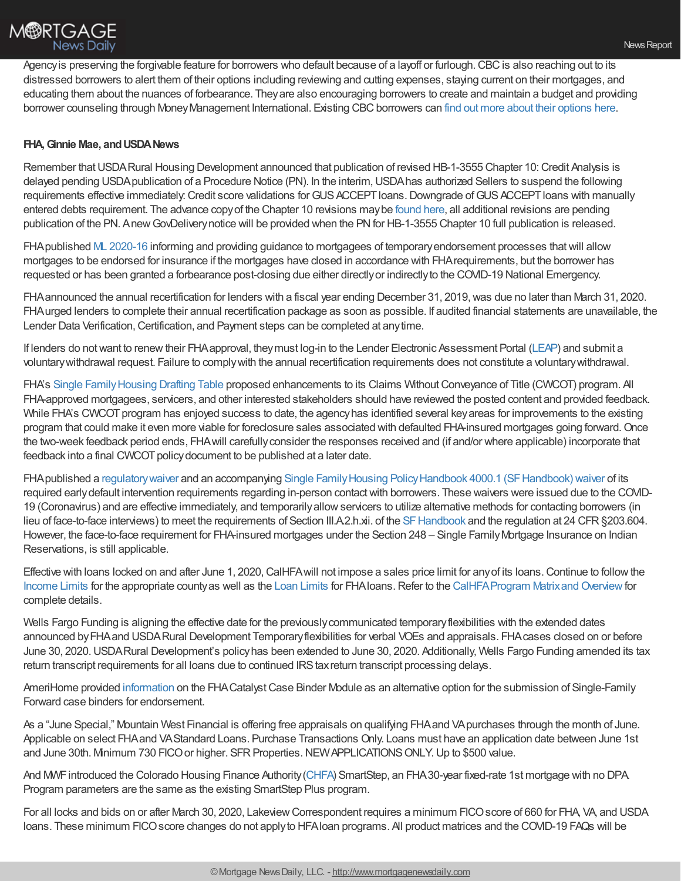Agency is preserving the forgivable feature for borrowers who default because of a layoff or furlough. CBC is also reaching out to its distressed borrowers to alert them of their options including reviewing and cutting expenses, staying current on their mortgages, and educating them about the nuances of forbearance. Theyare also encouraging borrowers to create and maintain a budget and providing borrower counseling through Money Management International. Existing CBC borrowers can find out more about their [options](http://www.chenoafund.org/) here.

# **FHA,Ginnie Mae, andUSDANews**

Remember that USDA Rural Housing Development announced that publication of revised HB-1-3555 Chapter 10: Credit Analysis is delayed pending USDApublication of a Procedure Notice (PN). In the interim,USDAhas authorized Sellers to suspend the following requirements effective immediately: Credit score validations for GUS ACCEPT loans. Downgrade of GUS ACCEPT loans with manually entered debts requirement. The advance copyof the Chapter 10 revisions maybe [found](https://content.govdelivery.com/accounts/USDARD/bulletins/278988b) here, all additional revisions are pending publication of the PN. Anew GovDelivery notice will be provided when the PN for HB-1-3555 Chapter 10 full publication is released.

FHA published ML [2020-16](https://www.hud.gov/sites/dfiles/OCHCO/documents/2020-16hsngml.pdf) informing and providing guidance to mortgagees of temporary endorsement processes that will allow mortgages to be endorsed for insurance if the mortgages have closed in accordance with FHArequirements, but the borrower has requested or has been granted a forbearance post-closing due either directlyor indirectlyto the COVID-19 National Emergency.

FHA announced the annual recertification for lenders with a fiscal year ending December 31, 2019, was due no later than March 31, 2020. FHAurged lenders to complete their annual recertification package as soon as possible. If audited financial statements are unavailable, the Lender Data Verification, Certification, and Payment steps can be completed at anytime.

If lenders do not want to renew their FHA approval, they must log-in to the Lender Electronic Assessment Portal [\(LEAP](https://www.hud.gov/sites/dfiles/SFH/documents/SFH_LEAP_USER_MANUAL.pdf)) and submit a voluntarywithdrawal request. Failure to complywith the annual recertification requirements does not constitute a voluntarywithdrawal.

FHA's Single Family Housing Drafting Table proposed enhancements to its Claims Without Conveyance of Title (CWCOT) program. All FHA-approved mortgagees, servicers, and other interested stakeholders should have reviewed the posted content and provided feedback. While FHA's CWCOT program has enjoyed success to date, the agency has identified several key areas for improvements to the existing program that could make it even more viable for foreclosure sales associated with defaulted FHA-insured mortgages going forward. Once the two-week feedback period ends, FHAwill carefullyconsider the responses received and (if and/or where applicable) incorporate that feedback into a final CWCOT policy document to be published at a later date.

FHA published a regulatory waiver and an accompanying Single Family Housing Policy Handbook 4000.1 (SF Handbook) waiver of its required earlydefault intervention requirements regarding in-person contactwith borrowers. These waivers were issued due to the COVID-19 (Coronavirus) and are effective immediately, and temporarilyallowservicers to utilize alternative methods for contacting borrowers (in lieu of face-to-face interviews) to meet the requirements of Section III.A.2.h.xii. of the SF Handbook and the regulation at 24 CFR §203.604. However, the face-to-face requirement for FHA-insured mortgages under the Section 248 – Single FamilyMortgage Insurance on Indian Reservations, is still applicable.

Effective with loans locked on and after June 1, 2020, CalHFA will not impose a sales price limit for any of its loans. Continue to follow the [Income](https://www.calhfa.ca.gov/homeownership/limits/index.htm) [Limits](https://entp.hud.gov/idapp/html/hicostlook.cfm) for the appropriate county as well as the Loan Limits for FHAIoans. Refer to the CalHFA Program Matrix and Overview for complete details.

Wells Fargo Funding is aligning the effective date for the previouslycommunicated temporaryflexibilities with the extended dates announced byFHAand USDARural Development Temporaryflexibilities for verbal VOEs and appraisals. FHAcases closed on or before June 30, 2020.USDARural Development's policyhas been extended to June 30, 2020. Additionally, Wells Fargo Funding amended its tax return transcript requirements for all loans due to continued IRS tax return transcript processing delays.

AmeriHome provided [information](https://www.hud.gov/sites/dfiles/OCHCO/documents/20-07hsngml.pdf) on the FHA Catalyst Case Binder Module as an alternative option for the submission of Single-Family Forward case binders for endorsement.

As a "June Special," Mountain West Financial is offering free appraisals on qualifying FHAand VApurchases through the month of June. Applicable on select FHAand VAStandard Loans. Purchase Transactions Only. Loans must have an application date between June 1st and June 30th. Mnimum 730 FICO or higher. SFR Properties. NEW APPLICATIONS ONLY. Up to \$500 value.

And MWFintroduced the Colorado Housing Finance Authority[\(CHFA](https://www.chfainfo.com/participating-lenders/single-family/Pages/Programs-Forms.aspx)) SmartStep, an FHA30-year fixed-rate 1st mortgage with no DPA. Program parameters are the same as the existing SmartStep Plus program.

For all locks and bids on or after March 30, 2020, LakeviewCorrespondent requires a minimum FICOscore of 660 for FHA, VA, and USDA loans. These minimum FICOscore changes do not applyto HFAloan programs. All product matrices and the COVID-19 FAQs will be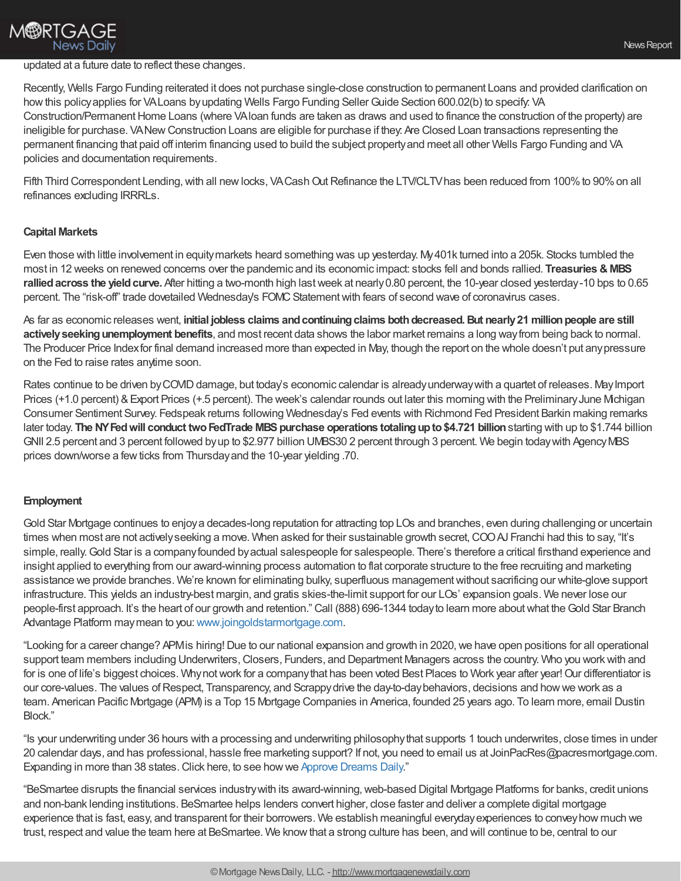# **M®RTGAGE News Daily**

## updated at a future date to reflect these changes.

Recently, Wells Fargo Funding reiterated it does not purchase single-close construction to permanent Loans and provided clarification on how this policy applies for VALoans by updating Wells Fargo Funding Seller Guide Section 600.02(b) to specify: VA Construction/Permanent Home Loans (where VAloan funds are taken as draws and used to finance the construction of the property) are ineligible for purchase. VANew Construction Loans are eligible for purchase if they: Are Closed Loan transactions representing the permanent financing that paid off interim financing used to build the subject propertyand meet all other Wells Fargo Funding and VA policies and documentation requirements.

Fifth Third Correspondent Lending, with all new locks, VA Cash Out Refinance the LTV/CLTV has been reduced from 100% to 90% on all refinances excluding IRRRLs.

# **Capital Markets**

Even those with little involvement in equitymarkets heard something was up yesterday. My401k turned into a 205k. Stocks tumbled the most in 12 weeks on renewed concerns over the pandemic and its economic impact: stocks fell and bonds rallied. **Treasuries & MBS rallied across the yield curve.** After hitting a two-month high last week at nearly 0.80 percent, the 10-year closed yesterday-10 bps to 0.65 percent. The "risk-off" trade dovetailed Wednesday's FOMC Statement with fears of second wave of coronavirus cases.

As far as economic releases went, **initial jobless claims andcontinuingclaims bothdecreased.But nearly21 millionpeople are still activelyseekingunemployment benefits**, and most recent data shows the labor market remains a long wayfrom being back to normal. The Producer Price Indexfor final demand increased more than expected in May, though the report on the whole doesn't put anypressure on the Fed to raise rates anytime soon.

Rates continue to be driven by COVID damage, but today's economic calendar is already underway with a quartet of releases. May Import Prices (+1.0 percent) & Export Prices (+.5 percent). The week's calendar rounds out later this morning with the Preliminary June Michigan Consumer Sentiment Survey. Fedspeak returns following Wednesday's Fed events with Richmond Fed President Barkin making remarks later today. **The NYFedwill conduct twoFedTrade MBSpurchase operations totalingupto\$4.721 billion**starting with up to \$1.744 billion GNII 2.5 percent and 3 percent followed byup to \$2.977 billion UMBS30 2 percent through 3 percent. We begin todaywith AgencyMBS prices down/worse a few ticks from Thursday and the 10-year yielding .70.

## **Employment**

Gold Star Mortgage continues to enjoya decades-long reputation for attracting top LOs and branches, even during challenging or uncertain times when most are not actively seeking a move. When asked for their sustainable growth secret, COO AJ Franchi had this to say, "It's simple, really. Gold Star is a company founded by actual salespeople for salespeople. There's therefore a critical firsthand experience and insight applied to everything from our award-winning process automation to flat corporate structure to the free recruiting and marketing assistance we provide branches. We're known for eliminating bulky, superfluous management without sacrificing our white-glove support infrastructure. This yields an industry-best margin, and gratis skies-the-limit support for our LOs' expansion goals. We never lose our people-first approach. It's the heart of our growth and retention." Call (888) 696-1344 today to learn more about what the Gold Star Branch Advantage Platform may mean to you: [www.joingoldstarmortgage.com](https://quaxel2.net/v1/t/c/f783bbe3-2708-317e-c00e-77f395453419/outlk:2a66787c-7c9f-4aa3-b0b8-41eb3590c3fb/Multiple%20Recipients/http%253A%252F%252Fwww.joingoldstarmortgage.com).

"Looking for a career change? APM is hiring! Due to our national expansion and growth in 2020, we have open positions for all operational support team members including Underwriters, Closers, Funders, and Department Managers across the country. Who you work with and for is one of life's biggest choices. Why not work for a company that has been voted Best Places to Work year after year! Our differentiator is our core-values. The values of Respect, Transparency, and Scrappy drive the day-to-day behaviors, decisions and how we work as a team. American Pacific Mortgage (APM) is a Top 15 Mortgage Companies in America, founded 25 years ago. To learn more, email Dustin Block."

"Is your underwriting under 36 hours with a processing and underwriting philosophythat supports 1 touch underwrites, close times in under 20 calendar days, and has professional, hassle free marketing support? If not, you need to email us at JoinPacRes@pacresmortgage.com. Expanding in more than 38 states. Click here, to see how we Approve [Dreams](https://pacresmortgage.com/recruitment/) Daily."

"BeSmartee disrupts the financial services industrywith its award-winning,web-based Digital Mortgage Platforms for banks, credit unions and non-bank lending institutions. BeSmartee helps lenders convert higher, close faster and deliver a complete digital mortgage experience that is fast, easy, and transparent for their borrowers. We establish meaningful everydayexperiences to conveyhow much we trust, respect and value the team here at BeSmartee. We knowthat a strong culture has been, and will continue to be, central to our